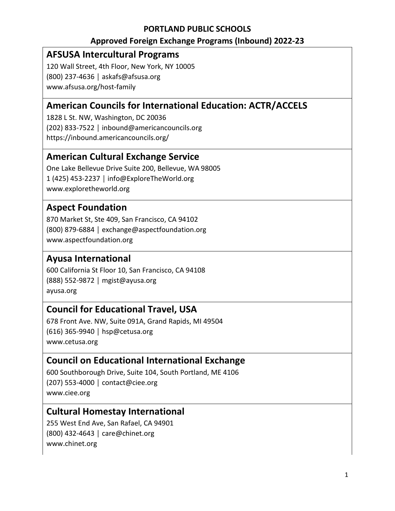#### **PORTLAND PUBLIC SCHOOLS**

#### **Approved Foreign Exchange Programs (Inbound) 2022-23**

## **AFSUSA Intercultural Programs**

120 Wall Street, 4th Floor, New York, NY 10005 (800) 237-4636 │ askafs@afsusa.org www.afsusa.org/host-family

# **American Councils for International Education: ACTR/ACCELS**

1828 L St. NW, Washington, DC 20036 (202) 833-7522 │ inbound@americancouncils.org https://inbound.americancouncils.org/

## **American Cultural Exchange Service**

One Lake Bellevue Drive Suite 200, Bellevue, WA 98005 1 (425) 453-2237 │ info@ExploreTheWorld.org www.exploretheworld.org

## **Aspect Foundation**

870 Market St, Ste 409, San Francisco, CA 94102 (800) 879-6884 │ exchange@aspectfoundation.org www.aspectfoundation.org

### **Ayusa International**

600 California St Floor 10, San Francisco, CA 94108 (888) 552-9872 │ mgist@ayusa.org ayusa.org

### **Council for Educational Travel, USA**

678 Front Ave. NW, Suite 091A, Grand Rapids, MI 49504 (616) 365-9940 │ hsp@cetusa.org www.cetusa.org

### **Council on Educational International Exchange**

600 Southborough Drive, Suite 104, South Portland, ME 4106 (207) 553-4000 │ contact@ciee.org www.ciee.org

### **Cultural Homestay International**

255 West End Ave, San Rafael, CA 94901 (800) 432-4643 │ care@chinet.org www.chinet.org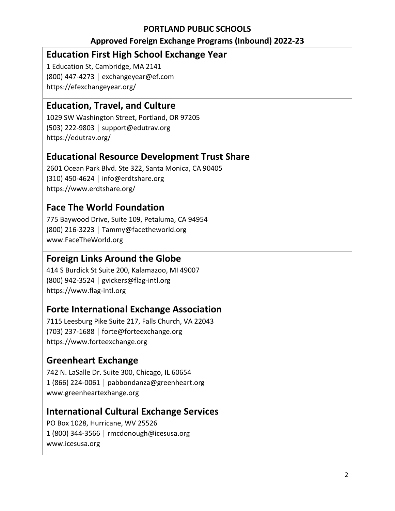#### **PORTLAND PUBLIC SCHOOLS**

#### **Approved Foreign Exchange Programs (Inbound) 2022-23**

## **Education First High School Exchange Year**

1 Education St, Cambridge, MA 2141 (800) 447-4273 │ exchangeyear@ef.com https://efexchangeyear.org/

## **Education, Travel, and Culture**

1029 SW Washington Street, Portland, OR 97205 (503) 222-9803 │ support@edutrav.org https://edutrav.org/

### **Educational Resource Development Trust Share**

2601 Ocean Park Blvd. Ste 322, Santa Monica, CA 90405 (310) 450-4624 │ info@erdtshare.org https://www.erdtshare.org/

## **Face The World Foundation**

775 Baywood Drive, Suite 109, Petaluma, CA 94954 (800) 216-3223 │ Tammy@facetheworld.org www.FaceTheWorld.org

### **Foreign Links Around the Globe**

414 S Burdick St Suite 200, Kalamazoo, MI 49007 (800) 942-3524 │ gvickers@flag-intl.org https://www.flag-intl.org

### **Forte International Exchange Association**

7115 Leesburg Pike Suite 217, Falls Church, VA 22043 (703) 237-1688 │ forte@forteexchange.org https://www.forteexchange.org

### **Greenheart Exchange**

742 N. LaSalle Dr. Suite 300, Chicago, IL 60654 1 (866) 224-0061 │ pabbondanza@greenheart.org www.greenheartexhange.org

### **International Cultural Exchange Services**

PO Box 1028, Hurricane, WV 25526 1 (800) 344-3566 │ rmcdonough@icesusa.org www.icesusa.org